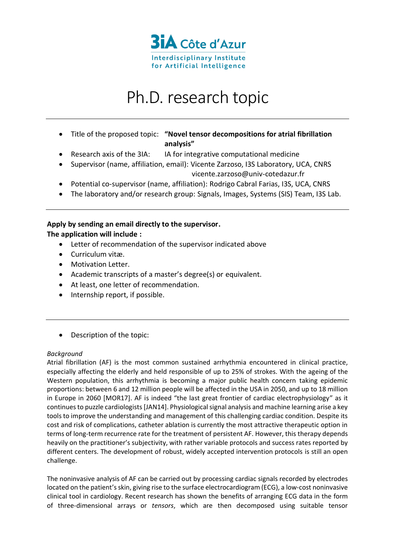

# Ph.D. research topic

- Title of the proposed topic: **"Novel tensor decompositions for atrial fibrillation analysis"**
- Research axis of the 3IA: IA for integrative computational medicine
- Supervisor (name, affiliation, email): Vicente Zarzoso, I3S Laboratory, UCA, CNRS vicente.zarzoso@univ-cotedazur.fr
- Potential co-supervisor (name, affiliation): Rodrigo Cabral Farias, I3S, UCA, CNRS
- The laboratory and/or research group: Signals, Images, Systems (SIS) Team, I3S Lab.

# **Apply by sending an email directly to the supervisor. The application will include :**

- Letter of recommendation of the supervisor indicated above
- Curriculum vitæ.
- Motivation Letter.
- Academic transcripts of a master's degree(s) or equivalent.
- At least, one letter of recommendation.
- Internship report, if possible.
- Description of the topic:

## *Background*

Atrial fibrillation (AF) is the most common sustained arrhythmia encountered in clinical practice, especially affecting the elderly and held responsible of up to 25% of strokes. With the ageing of the Western population, this arrhythmia is becoming a major public health concern taking epidemic proportions: between 6 and 12 million people will be affected in the USA in 2050, and up to 18 million in Europe in 2060 [MOR17]. AF is indeed "the last great frontier of cardiac electrophysiology" as it continues to puzzle cardiologists [JAN14]. Physiological signal analysis and machine learning arise a key tools to improve the understanding and management of this challenging cardiac condition. Despite its cost and risk of complications, catheter ablation is currently the most attractive therapeutic option in terms of long-term recurrence rate for the treatment of persistent AF. However, this therapy depends heavily on the practitioner's subjectivity, with rather variable protocols and success rates reported by different centers. The development of robust, widely accepted intervention protocols is still an open challenge.

The noninvasive analysis of AF can be carried out by processing cardiac signals recorded by electrodes located on the patient's skin, giving rise to the surface electrocardiogram (ECG), a low-cost noninvasive clinical tool in cardiology. Recent research has shown the benefits of arranging ECG data in the form of three-dimensional arrays or *tensors*, which are then decomposed using suitable tensor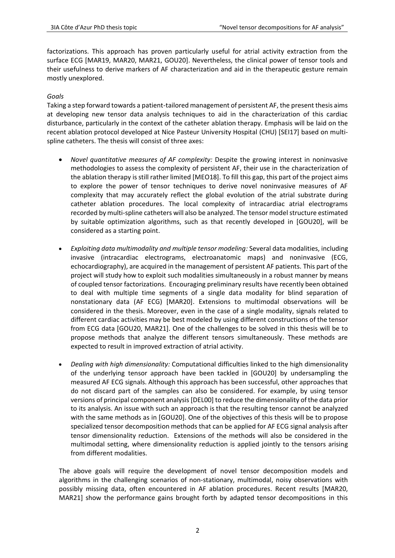factorizations. This approach has proven particularly useful for atrial activity extraction from the surface ECG [MAR19, MAR20, MAR21, GOU20]. Nevertheless, the clinical power of tensor tools and their usefulness to derive markers of AF characterization and aid in the therapeutic gesture remain mostly unexplored.

# *Goals*

Taking a step forward towards a patient-tailored management of persistent AF, the present thesis aims at developing new tensor data analysis techniques to aid in the characterization of this cardiac disturbance, particularly in the context of the catheter ablation therapy. Emphasis will be laid on the recent ablation protocol developed at Nice Pasteur University Hospital (CHU) [SEI17] based on multispline catheters. The thesis will consist of three axes:

- *Novel quantitative measures of AF complexity:* Despite the growing interest in noninvasive methodologies to assess the complexity of persistent AF, their use in the characterization of the ablation therapy is still rather limited [MEO18]. To fill this gap, this part of the project aims to explore the power of tensor techniques to derive novel noninvasive measures of AF complexity that may accurately reflect the global evolution of the atrial substrate during catheter ablation procedures. The local complexity of intracardiac atrial electrograms recorded by multi-spline catheters will also be analyzed. The tensor model structure estimated by suitable optimization algorithms, such as that recently developed in [GOU20], will be considered as a starting point.
- *Exploiting data multimodality and multiple tensor modeling:* Several data modalities, including invasive (intracardiac electrograms, electroanatomic maps) and noninvasive (ECG, echocardiography), are acquired in the management of persistent AF patients. This part of the project will study how to exploit such modalities simultaneously in a robust manner by means of coupled tensor factorizations. Encouraging preliminary results have recently been obtained to deal with multiple time segments of a single data modality for blind separation of nonstationary data (AF ECG) [MAR20]. Extensions to multimodal observations will be considered in the thesis. Moreover, even in the case of a single modality, signals related to different cardiac activities may be best modeled by using different constructions of the tensor from ECG data [GOU20, MAR21]. One of the challenges to be solved in this thesis will be to propose methods that analyze the different tensors simultaneously. These methods are expected to result in improved extraction of atrial activity.
- *Dealing with high dimensionality:* Computational difficulties linked to the high dimensionality of the underlying tensor approach have been tackled in [GOU20] by undersampling the measured AF ECG signals. Although this approach has been successful, other approaches that do not discard part of the samples can also be considered. For example, by using tensor versions of principal component analysis [DEL00] to reduce the dimensionality of the data prior to its analysis. An issue with such an approach is that the resulting tensor cannot be analyzed with the same methods as in [GOU20]. One of the objectives of this thesis will be to propose specialized tensor decomposition methods that can be applied for AF ECG signal analysis after tensor dimensionality reduction. Extensions of the methods will also be considered in the multimodal setting, where dimensionality reduction is applied jointly to the tensors arising from different modalities.

The above goals will require the development of novel tensor decomposition models and algorithms in the challenging scenarios of non-stationary, multimodal, noisy observations with possibly missing data, often encountered in AF ablation procedures. Recent results [MAR20, MAR21] show the performance gains brought forth by adapted tensor decompositions in this